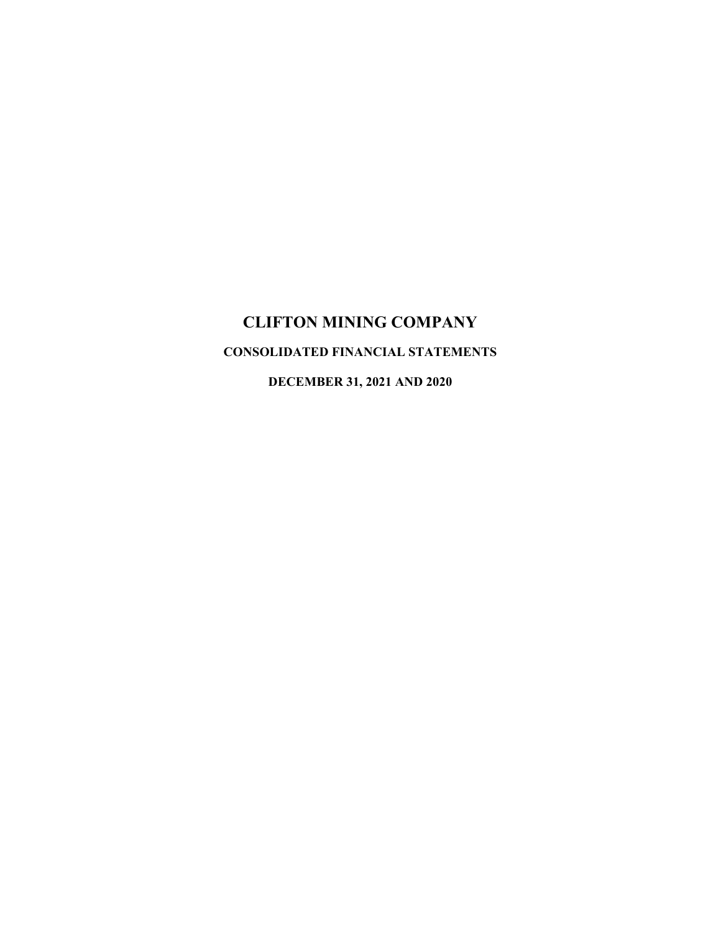# **CLIFTON MINING COMPANY CONSOLIDATED FINANCIAL STATEMENTS DECEMBER 31, 2021 AND 2020**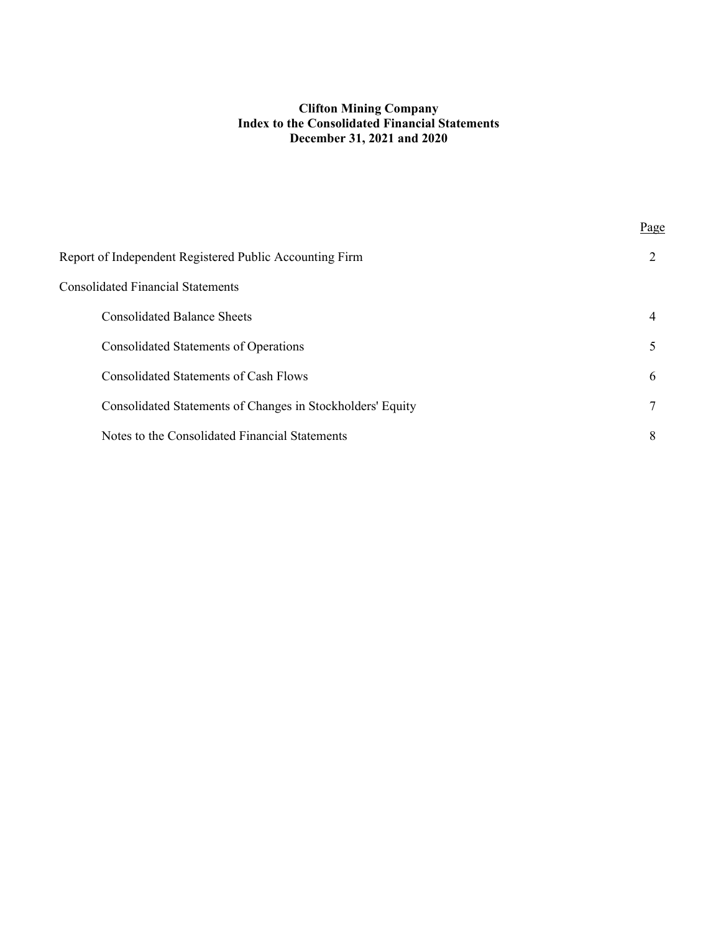# **Clifton Mining Company Index to the Consolidated Financial Statements December 31, 2021 and 2020**

|                                                            | Page |
|------------------------------------------------------------|------|
| Report of Independent Registered Public Accounting Firm    | 2    |
| <b>Consolidated Financial Statements</b>                   |      |
| <b>Consolidated Balance Sheets</b>                         | 4    |
| Consolidated Statements of Operations                      | 5    |
| <b>Consolidated Statements of Cash Flows</b>               | 6    |
| Consolidated Statements of Changes in Stockholders' Equity |      |
| Notes to the Consolidated Financial Statements             | 8    |
|                                                            |      |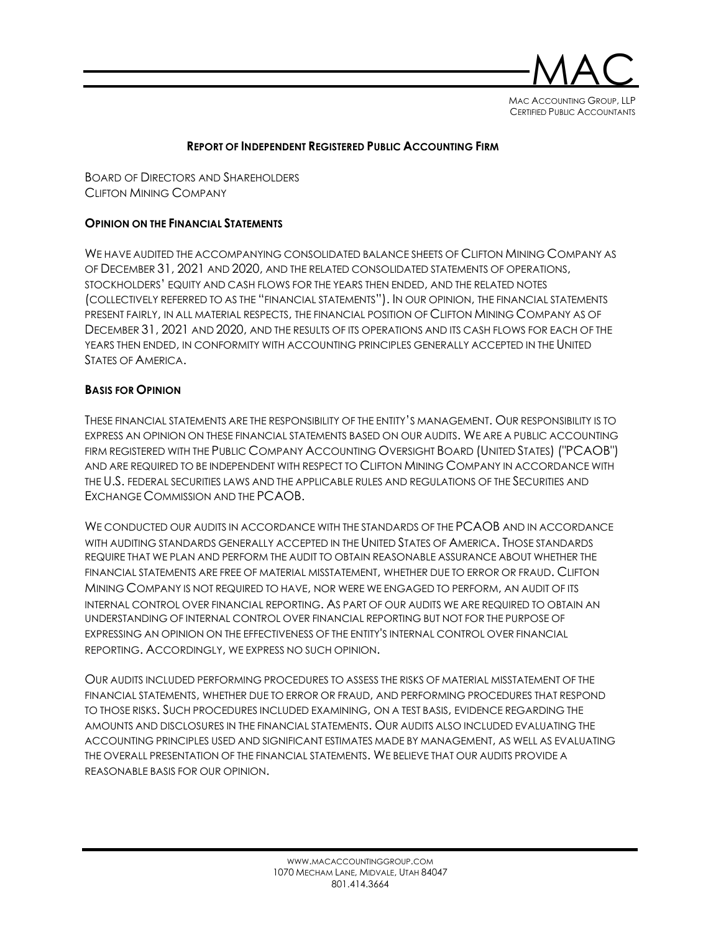

**MAC ACCOUNTING GROUP, IIP** CERTIFIED PUBLIC ACCOUNTANTS

#### **REPORT OF INDEPENDENT REGISTERED PUBLIC ACCOUNTING FIRM**

BOARD OF DIRECTORS AND SHAREHOLDERS CLIFTON MINING COMPANY

### **OPINION ON THE FINANCIAL STATEMENTS**

WE HAVE AUDITED THE ACCOMPANYING CONSOLIDATED BALANCE SHEETS OF CLIFTON MINING COMPANY AS OF DECEMBER 31, 2021 AND 2020, AND THE RELATED CONSOLIDATED STATEMENTS OF OPERATIONS, STOCKHOLDERS' EQUITY AND CASH FLOWS FOR THE YEARS THEN ENDED, AND THE RELATED NOTES (COLLECTIVELY REFERRED TO AS THE "FINANCIAL STATEMENTS"). IN OUR OPINION, THE FINANCIAL STATEMENTS PRESENT FAIRLY, IN ALL MATERIAL RESPECTS, THE FINANCIAL POSITION OF CLIFTON MINING COMPANY AS OF DECEMBER 31, 2021 AND 2020, AND THE RESULTS OF ITS OPERATIONS AND ITS CASH FLOWS FOR EACH OF THE YEARS THEN ENDED, IN CONFORMITY WITH ACCOUNTING PRINCIPLES GENERALLY ACCEPTED IN THE UNITED STATES OF AMERICA.

#### **BASIS FOR OPINION**

THESE FINANCIAL STATEMENTS ARE THE RESPONSIBILITY OF THE ENTITY'S MANAGEMENT. OUR RESPONSIBILITY IS TO EXPRESS AN OPINION ON THESE FINANCIAL STATEMENTS BASED ON OUR AUDITS. WE ARE A PUBLIC ACCOUNTING FIRM REGISTERED WITH THE PUBLIC COMPANY ACCOUNTING OVERSIGHT BOARD (UNITED STATES) ("PCAOB") AND ARE REQUIRED TO BE INDEPENDENT WITH RESPECT TO CLIFTON MINING COMPANY IN ACCORDANCE WITH THE U.S. FEDERAL SECURITIES LAWS AND THE APPLICABLE RULES AND REGULATIONS OF THE SECURITIES AND EXCHANGE COMMISSION AND THE PCAOB.

WE CONDUCTED OUR AUDITS IN ACCORDANCE WITH THE STANDARDS OF THE PCAOB AND IN ACCORDANCE WITH AUDITING STANDARDS GENERALLY ACCEPTED IN THE UNITED STATES OF AMERICA. THOSE STANDARDS REQUIRE THAT WE PLAN AND PERFORM THE AUDIT TO OBTAIN REASONABLE ASSURANCE ABOUT WHETHER THE FINANCIAL STATEMENTS ARE FREE OF MATERIAL MISSTATEMENT, WHETHER DUE TO ERROR OR FRAUD. CLIFTON MINING COMPANY IS NOT REQUIRED TO HAVE, NOR WERE WE ENGAGED TO PERFORM, AN AUDIT OF ITS INTERNAL CONTROL OVER FINANCIAL REPORTING. AS PART OF OUR AUDITS WE ARE REQUIRED TO OBTAIN AN UNDERSTANDING OF INTERNAL CONTROL OVER FINANCIAL REPORTING BUT NOT FOR THE PURPOSE OF EXPRESSING AN OPINION ON THE EFFECTIVENESS OF THE ENTITY'S INTERNAL CONTROL OVER FINANCIAL REPORTING. ACCORDINGLY, WE EXPRESS NO SUCH OPINION.

OUR AUDITS INCLUDED PERFORMING PROCEDURES TO ASSESS THE RISKS OF MATERIAL MISSTATEMENT OF THE FINANCIAL STATEMENTS, WHETHER DUE TO ERROR OR FRAUD, AND PERFORMING PROCEDURES THAT RESPOND TO THOSE RISKS. SUCH PROCEDURES INCLUDED EXAMINING, ON A TEST BASIS, EVIDENCE REGARDING THE AMOUNTS AND DISCLOSURES IN THE FINANCIAL STATEMENTS. OUR AUDITS ALSO INCLUDED EVALUATING THE ACCOUNTING PRINCIPLES USED AND SIGNIFICANT ESTIMATES MADE BY MANAGEMENT, AS WELL AS EVALUATING THE OVERALL PRESENTATION OF THE FINANCIAL STATEMENTS. WE BELIEVE THAT OUR AUDITS PROVIDE A REASONABLE BASIS FOR OUR OPINION.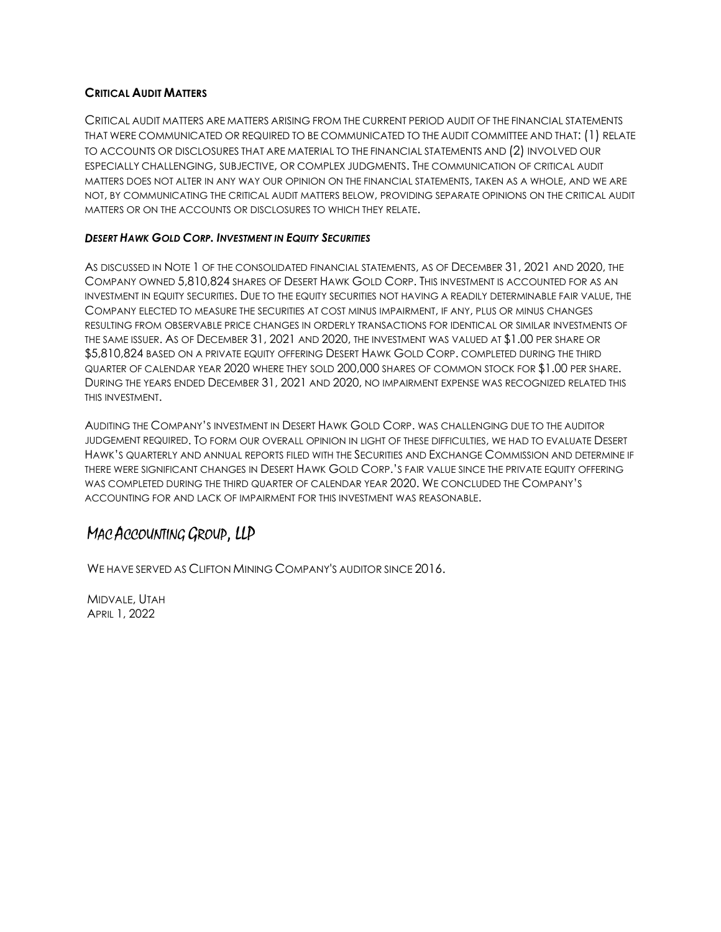# **CRITICAL AUDIT MATTERS**

CRITICAL AUDIT MATTERS ARE MATTERS ARISING FROM THE CURRENT PERIOD AUDIT OF THE FINANCIAL STATEMENTS THAT WERE COMMUNICATED OR REQUIRED TO BE COMMUNICATED TO THE AUDIT COMMITTEE AND THAT: (1) RELATE TO ACCOUNTS OR DISCLOSURES THAT ARE MATERIAL TO THE FINANCIAL STATEMENTS AND (2) INVOLVED OUR ESPECIALLY CHALLENGING, SUBJECTIVE, OR COMPLEX JUDGMENTS. THE COMMUNICATION OF CRITICAL AUDIT MATTERS DOES NOT ALTER IN ANY WAY OUR OPINION ON THE FINANCIAL STATEMENTS, TAKEN AS A WHOLE, AND WE ARE NOT, BY COMMUNICATING THE CRITICAL AUDIT MATTERS BELOW, PROVIDING SEPARATE OPINIONS ON THE CRITICAL AUDIT MATTERS OR ON THE ACCOUNTS OR DISCLOSURES TO WHICH THEY RELATE.

#### *DESERT HAWK GOLD CORP. INVESTMENT IN EQUITY SECURITIES*

AS DISCUSSED IN NOTE 1 OF THE CONSOLIDATED FINANCIAL STATEMENTS, AS OF DECEMBER 31, 2021 AND 2020, THE COMPANY OWNED 5,810,824 SHARES OF DESERT HAWK GOLD CORP. THIS INVESTMENT IS ACCOUNTED FOR AS AN INVESTMENT IN EQUITY SECURITIES. DUE TO THE EQUITY SECURITIES NOT HAVING A READILY DETERMINABLE FAIR VALUE, THE COMPANY ELECTED TO MEASURE THE SECURITIES AT COST MINUS IMPAIRMENT, IF ANY, PLUS OR MINUS CHANGES RESULTING FROM OBSERVABLE PRICE CHANGES IN ORDERLY TRANSACTIONS FOR IDENTICAL OR SIMILAR INVESTMENTS OF THE SAME ISSUER. AS OF DECEMBER 31, 2021 AND 2020, THE INVESTMENT WAS VALUED AT \$1.00 PER SHARE OR \$5,810,824 BASED ON A PRIVATE EQUITY OFFERING DESERT HAWK GOLD CORP. COMPLETED DURING THE THIRD QUARTER OF CALENDAR YEAR 2020 WHERE THEY SOLD 200,000 SHARES OF COMMON STOCK FOR \$1.00 PER SHARE. DURING THE YEARS ENDED DECEMBER 31, 2021 AND 2020, NO IMPAIRMENT EXPENSE WAS RECOGNIZED RELATED THIS THIS INVESTMENT.

AUDITING THE COMPANY'S INVESTMENT IN DESERT HAWK GOLD CORP. WAS CHALLENGING DUE TO THE AUDITOR JUDGEMENT REQUIRED. TO FORM OUR OVERALL OPINION IN LIGHT OF THESE DIFFICULTIES, WE HAD TO EVALUATE DESERT HAWK'S QUARTERLY AND ANNUAL REPORTS FILED WITH THE SECURITIES AND EXCHANGE COMMISSION AND DETERMINE IF THERE WERE SIGNIFICANT CHANGES IN DESERT HAWK GOLD CORP.'S FAIR VALUE SINCE THE PRIVATE EQUITY OFFERING WAS COMPLETED DURING THE THIRD QUARTER OF CALENDAR YEAR 2020. WE CONCLUDED THE COMPANY'S ACCOUNTING FOR AND LACK OF IMPAIRMENT FOR THIS INVESTMENT WAS REASONABLE.

# MAC ACCOUNTING GROUP, LLP

WE HAVE SERVED AS CLIFTON MINING COMPANY'S AUDITOR SINCE 2016.

MIDVALE, UTAH APRIL 1, 2022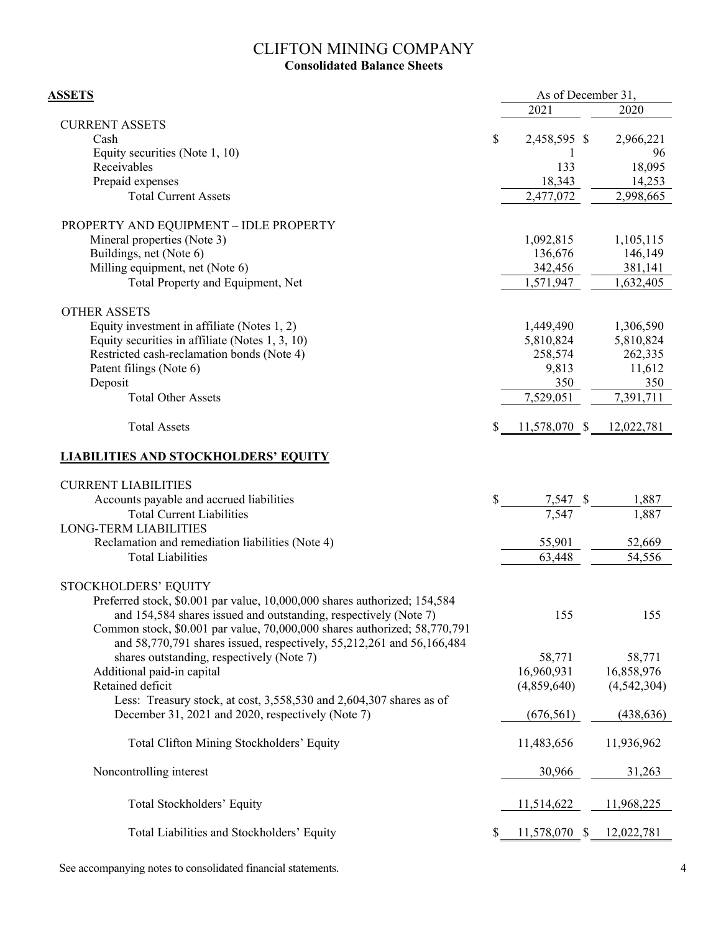# CLIFTON MINING COMPANY **Consolidated Balance Sheets**

| <u>ASSETS</u>                                                             |                           | As of December 31, |               |
|---------------------------------------------------------------------------|---------------------------|--------------------|---------------|
|                                                                           |                           | 2021               | 2020          |
| <b>CURRENT ASSETS</b>                                                     |                           |                    |               |
| Cash                                                                      | $\boldsymbol{\mathsf{S}}$ | 2,458,595 \$       | 2,966,221     |
| Equity securities (Note 1, 10)                                            |                           |                    | 96            |
| Receivables                                                               |                           | 133                | 18,095        |
| Prepaid expenses                                                          |                           | 18,343             | 14,253        |
| <b>Total Current Assets</b>                                               |                           | 2,477,072          | 2,998,665     |
| PROPERTY AND EQUIPMENT - IDLE PROPERTY                                    |                           |                    |               |
| Mineral properties (Note 3)                                               |                           | 1,092,815          | 1,105,115     |
| Buildings, net (Note 6)                                                   |                           | 136,676            | 146,149       |
| Milling equipment, net (Note 6)                                           |                           | 342,456            | 381,141       |
| Total Property and Equipment, Net                                         |                           | 1,571,947          | 1,632,405     |
| <b>OTHER ASSETS</b>                                                       |                           |                    |               |
| Equity investment in affiliate (Notes 1, 2)                               |                           | 1,449,490          | 1,306,590     |
| Equity securities in affiliate (Notes $1, 3, 10$ )                        |                           | 5,810,824          | 5,810,824     |
| Restricted cash-reclamation bonds (Note 4)                                |                           | 258,574            | 262,335       |
| Patent filings (Note 6)                                                   |                           | 9,813              | 11,612        |
| Deposit                                                                   |                           | 350                | 350           |
| <b>Total Other Assets</b>                                                 |                           | 7,529,051          | 7,391,711     |
| <b>Total Assets</b>                                                       | \$                        | 11,578,070 \$      | 12,022,781    |
| <b>LIABILITIES AND STOCKHOLDERS' EQUITY</b>                               |                           |                    |               |
| <b>CURRENT LIABILITIES</b>                                                |                           |                    |               |
| Accounts payable and accrued liabilities                                  | \$                        | 7,547 \$           | 1,887         |
| <b>Total Current Liabilities</b>                                          |                           | 7,547              | 1,887         |
| <b>LONG-TERM LIABILITIES</b>                                              |                           |                    |               |
| Reclamation and remediation liabilities (Note 4)                          |                           | 55,901             | 52,669        |
| <b>Total Liabilities</b>                                                  |                           | 63,448             | 54,556        |
| STOCKHOLDERS' EQUITY                                                      |                           |                    |               |
| Preferred stock, \$0.001 par value, 10,000,000 shares authorized; 154,584 |                           |                    |               |
| and 154,584 shares issued and outstanding, respectively (Note 7)          |                           | 155                | 155           |
| Common stock, \$0.001 par value, 70,000,000 shares authorized; 58,770,791 |                           |                    |               |
| and 58,770,791 shares issued, respectively, 55,212,261 and 56,166,484     |                           |                    |               |
| shares outstanding, respectively (Note 7)                                 |                           | 58,771             | 58,771        |
| Additional paid-in capital                                                |                           | 16,960,931         | 16,858,976    |
| Retained deficit                                                          |                           | (4,859,640)        | (4, 542, 304) |
| Less: Treasury stock, at cost, 3,558,530 and 2,604,307 shares as of       |                           |                    |               |
| December 31, 2021 and 2020, respectively (Note 7)                         |                           | (676, 561)         | (438, 636)    |
| Total Clifton Mining Stockholders' Equity                                 |                           | 11,483,656         | 11,936,962    |
| Noncontrolling interest                                                   |                           | 30,966             | 31,263        |
|                                                                           |                           |                    |               |
| Total Stockholders' Equity                                                |                           | 11,514,622         | 11,968,225    |
| Total Liabilities and Stockholders' Equity                                | S                         | 11,578,070 \$      | 12,022,781    |

See accompanying notes to consolidated financial statements. 4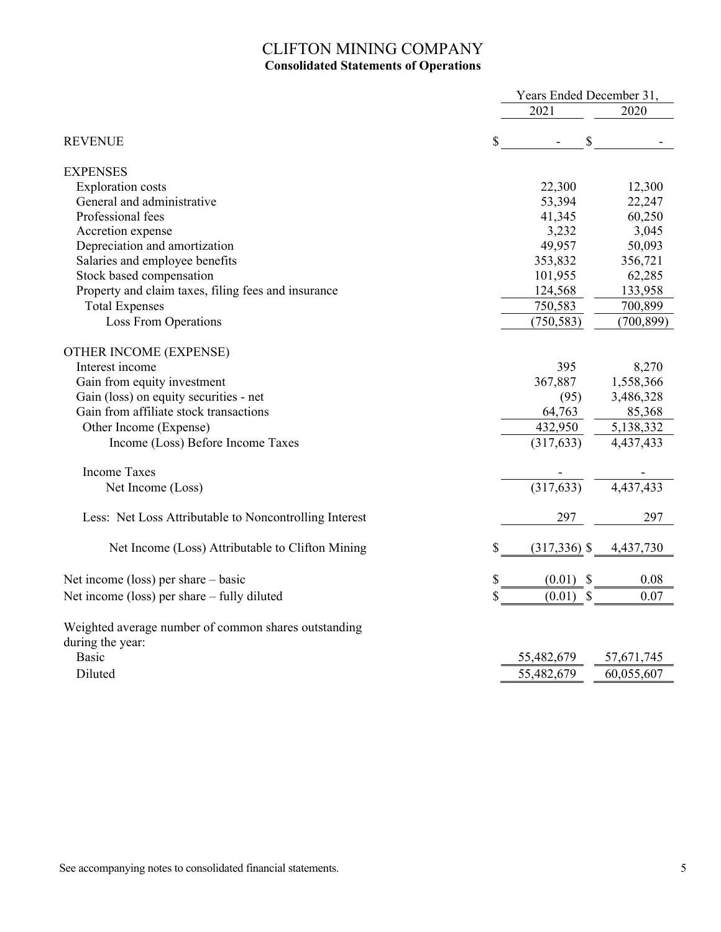# CLIFTON MINING COMPANY **Consolidated Statements of Operations**

|                                                                          |    | Years Ended December 31, |            |
|--------------------------------------------------------------------------|----|--------------------------|------------|
|                                                                          |    | 2021                     | 2020       |
| <b>REVENUE</b>                                                           | \$ | \$                       |            |
| <b>EXPENSES</b>                                                          |    |                          |            |
| <b>Exploration costs</b>                                                 |    | 22,300                   | 12,300     |
| General and administrative                                               |    | 53,394                   | 22,247     |
| Professional fees                                                        |    | 41,345                   | 60,250     |
| Accretion expense                                                        |    | 3,232                    | 3,045      |
| Depreciation and amortization                                            |    | 49,957                   | 50,093     |
| Salaries and employee benefits                                           |    | 353,832                  | 356,721    |
| Stock based compensation                                                 |    | 101,955                  | 62,285     |
| Property and claim taxes, filing fees and insurance                      |    | 124,568                  | 133,958    |
| <b>Total Expenses</b>                                                    |    | 750,583                  | 700,899    |
| Loss From Operations                                                     |    | (750, 583)               | (700, 899) |
| <b>OTHER INCOME (EXPENSE)</b>                                            |    |                          |            |
| Interest income                                                          |    | 395                      | 8,270      |
| Gain from equity investment                                              |    | 367,887                  | 1,558,366  |
| Gain (loss) on equity securities - net                                   |    | (95)                     | 3,486,328  |
| Gain from affiliate stock transactions                                   |    | 64,763                   | 85,368     |
| Other Income (Expense)                                                   |    | 432,950                  | 5,138,332  |
| Income (Loss) Before Income Taxes                                        |    | (317, 633)               | 4,437,433  |
| <b>Income Taxes</b>                                                      |    |                          |            |
| Net Income (Loss)                                                        |    | (317, 633)               | 4,437,433  |
| Less: Net Loss Attributable to Noncontrolling Interest                   |    | 297                      | 297        |
| Net Income (Loss) Attributable to Clifton Mining                         | \$ | $(317, 336)$ \$          | 4,437,730  |
| Net income (loss) per share $-$ basic                                    | \$ | $(0.01)$ \$              | 0.08       |
| Net income (loss) per share – fully diluted                              | \$ | $(0.01)$ \$              | 0.07       |
|                                                                          |    |                          |            |
| Weighted average number of common shares outstanding<br>during the year: |    |                          |            |
| <b>Basic</b>                                                             |    | 55,482,679               | 57,671,745 |
| Diluted                                                                  |    | 55,482,679               | 60,055,607 |
|                                                                          |    |                          |            |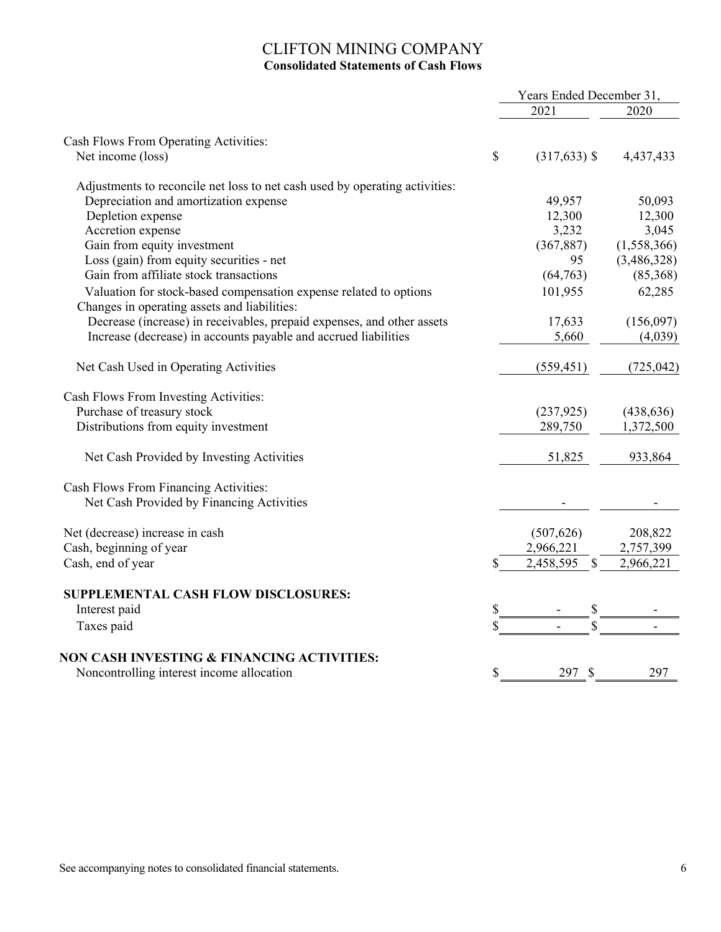# CLIFTON MINING COMPANY **Consolidated Statements of Cash Flows**

|                                                                                                                   |    | Years Ended December 31,  |             |
|-------------------------------------------------------------------------------------------------------------------|----|---------------------------|-------------|
|                                                                                                                   |    | 2021                      | 2020        |
| Cash Flows From Operating Activities:                                                                             |    |                           |             |
| Net income (loss)                                                                                                 | \$ | $(317, 633)$ \$           | 4,437,433   |
| Adjustments to reconcile net loss to net cash used by operating activities:                                       |    |                           |             |
| Depreciation and amortization expense                                                                             |    | 49,957                    | 50,093      |
| Depletion expense                                                                                                 |    | 12,300                    | 12,300      |
| Accretion expense                                                                                                 |    | 3,232                     | 3,045       |
| Gain from equity investment                                                                                       |    | (367, 887)                | (1,558,366) |
| Loss (gain) from equity securities - net                                                                          |    | 95                        | (3,486,328) |
| Gain from affiliate stock transactions                                                                            |    | (64, 763)                 | (85,368)    |
| Valuation for stock-based compensation expense related to options<br>Changes in operating assets and liabilities: |    | 101,955                   | 62,285      |
| Decrease (increase) in receivables, prepaid expenses, and other assets                                            |    | 17,633                    | (156,097)   |
| Increase (decrease) in accounts payable and accrued liabilities                                                   |    | 5,660                     | (4,039)     |
| Net Cash Used in Operating Activities                                                                             |    | (559, 451)                | (725, 042)  |
| Cash Flows From Investing Activities:                                                                             |    |                           |             |
| Purchase of treasury stock                                                                                        |    | (237, 925)                | (438, 636)  |
| Distributions from equity investment                                                                              |    | 289,750                   | 1,372,500   |
| Net Cash Provided by Investing Activities                                                                         |    | 51,825                    | 933,864     |
| Cash Flows From Financing Activities:                                                                             |    |                           |             |
| Net Cash Provided by Financing Activities                                                                         |    |                           |             |
| Net (decrease) increase in cash                                                                                   |    | (507, 626)                | 208,822     |
| Cash, beginning of year                                                                                           |    | 2,966,221                 | 2,757,399   |
| Cash, end of year                                                                                                 | \$ | $\mathbb{S}$<br>2,458,595 | 2,966,221   |
| <b>SUPPLEMENTAL CASH FLOW DISCLOSURES:</b>                                                                        |    |                           |             |
| Interest paid                                                                                                     | \$ | \$                        |             |
| Taxes paid                                                                                                        | \$ | \$                        |             |
| NON CASH INVESTING & FINANCING ACTIVITIES:                                                                        |    |                           |             |
| Noncontrolling interest income allocation                                                                         | \$ | 297 \$                    | 297         |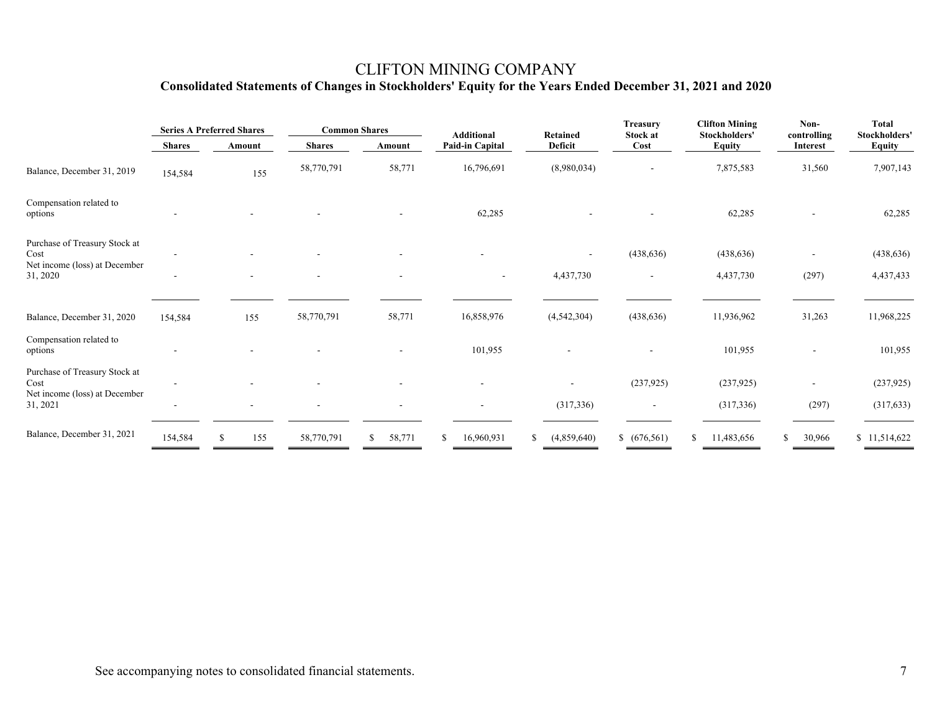# CLIFTON MINING COMPANY **Consolidated Statements of Changes in Stockholders' Equity for the Years Ended December 31, 2021 and 2020**

|                                                                        | <b>Series A Preferred Shares</b> |           |               |                          | <b>Common Shares</b>     |                          | <b>Additional</b>        | <b>Retained</b>  | <b>Treasury</b><br><b>Stock at</b> | <b>Clifton Mining</b><br>Stockholders' | Non-<br>controlling | <b>Total</b><br>Stockholders' |
|------------------------------------------------------------------------|----------------------------------|-----------|---------------|--------------------------|--------------------------|--------------------------|--------------------------|------------------|------------------------------------|----------------------------------------|---------------------|-------------------------------|
|                                                                        | <b>Shares</b>                    | Amount    | <b>Shares</b> | Amount                   | Paid-in Capital          | <b>Deficit</b>           | Cost                     | <b>Equity</b>    | <b>Interest</b>                    | <b>Equity</b>                          |                     |                               |
| Balance, December 31, 2019                                             | 154,584                          | 155       | 58,770,791    | 58,771                   | 16,796,691               | (8,980,034)              |                          | 7,875,583        | 31,560                             | 7,907,143                              |                     |                               |
| Compensation related to<br>options                                     |                                  |           |               |                          | 62,285                   |                          |                          | 62,285           |                                    | 62,285                                 |                     |                               |
| Purchase of Treasury Stock at<br>Cost<br>Net income (loss) at December |                                  |           |               | $\blacksquare$           | $\overline{\phantom{a}}$ | $\overline{\phantom{a}}$ | (438, 636)               | (438, 636)       |                                    | (438, 636)                             |                     |                               |
| 31, 2020                                                               |                                  |           |               | $\overline{\phantom{a}}$ | $\overline{\phantom{a}}$ | 4,437,730                | $\overline{\phantom{a}}$ | 4,437,730        | (297)                              | 4,437,433                              |                     |                               |
| Balance, December 31, 2020                                             | 154,584                          | 155       | 58,770,791    | 58,771                   | 16,858,976               | (4,542,304)              | (438, 636)               | 11,936,962       | 31,263                             | 11,968,225                             |                     |                               |
| Compensation related to<br>options                                     |                                  |           |               |                          | 101,955                  |                          |                          | 101,955          |                                    | 101,955                                |                     |                               |
| Purchase of Treasury Stock at<br>Cost                                  |                                  |           |               |                          |                          |                          | (237, 925)               | (237, 925)       | $\overline{\phantom{a}}$           | (237, 925)                             |                     |                               |
| Net income (loss) at December<br>31, 2021                              |                                  |           |               |                          |                          | (317, 336)               |                          | (317, 336)       | (297)                              | (317,633)                              |                     |                               |
| Balance, December 31, 2021                                             | 154,584                          | 155<br>-S | 58,770,791    | 58,771<br>S.             | 16,960,931               | (4,859,640)<br>S         | \$ (676,561)             | 11,483,656<br>\$ | 30,966<br>S.                       | \$11,514,622                           |                     |                               |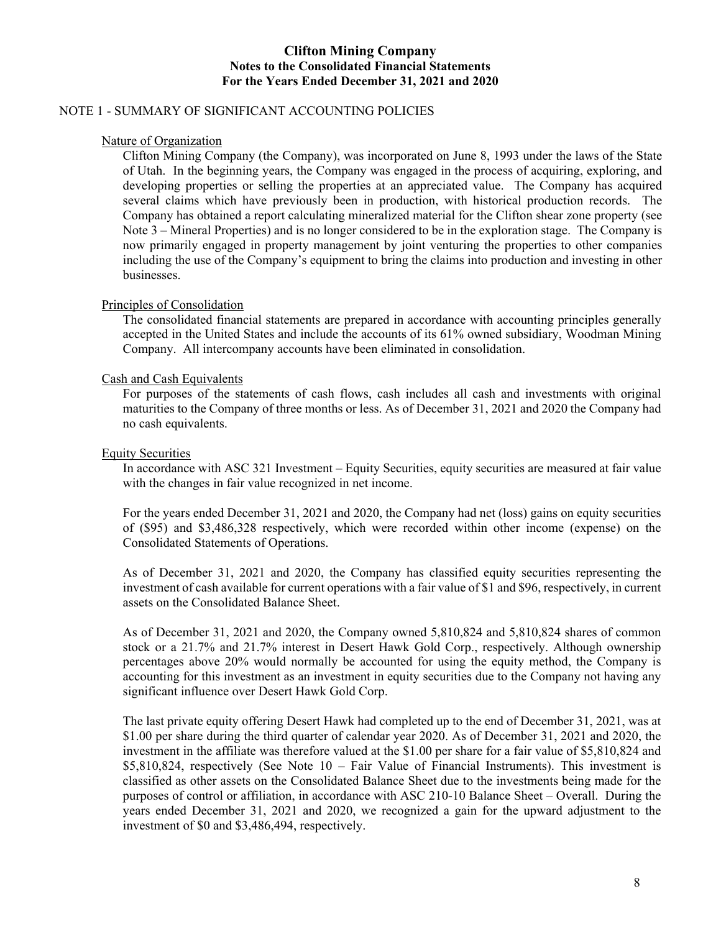# NOTE 1 - SUMMARY OF SIGNIFICANT ACCOUNTING POLICIES

#### Nature of Organization

Clifton Mining Company (the Company), was incorporated on June 8, 1993 under the laws of the State of Utah. In the beginning years, the Company was engaged in the process of acquiring, exploring, and developing properties or selling the properties at an appreciated value. The Company has acquired several claims which have previously been in production, with historical production records. The Company has obtained a report calculating mineralized material for the Clifton shear zone property (see Note 3 – Mineral Properties) and is no longer considered to be in the exploration stage. The Company is now primarily engaged in property management by joint venturing the properties to other companies including the use of the Company's equipment to bring the claims into production and investing in other businesses.

# Principles of Consolidation

The consolidated financial statements are prepared in accordance with accounting principles generally accepted in the United States and include the accounts of its 61% owned subsidiary, Woodman Mining Company. All intercompany accounts have been eliminated in consolidation.

#### Cash and Cash Equivalents

For purposes of the statements of cash flows, cash includes all cash and investments with original maturities to the Company of three months or less. As of December 31, 2021 and 2020 the Company had no cash equivalents.

#### Equity Securities

In accordance with ASC 321 Investment – Equity Securities, equity securities are measured at fair value with the changes in fair value recognized in net income.

For the years ended December 31, 2021 and 2020, the Company had net (loss) gains on equity securities of (\$95) and \$3,486,328 respectively, which were recorded within other income (expense) on the Consolidated Statements of Operations.

As of December 31, 2021 and 2020, the Company has classified equity securities representing the investment of cash available for current operations with a fair value of \$1 and \$96, respectively, in current assets on the Consolidated Balance Sheet.

As of December 31, 2021 and 2020, the Company owned 5,810,824 and 5,810,824 shares of common stock or a 21.7% and 21.7% interest in Desert Hawk Gold Corp., respectively. Although ownership percentages above 20% would normally be accounted for using the equity method, the Company is accounting for this investment as an investment in equity securities due to the Company not having any significant influence over Desert Hawk Gold Corp.

The last private equity offering Desert Hawk had completed up to the end of December 31, 2021, was at \$1.00 per share during the third quarter of calendar year 2020. As of December 31, 2021 and 2020, the investment in the affiliate was therefore valued at the \$1.00 per share for a fair value of \$5,810,824 and \$5,810,824, respectively (See Note 10 – Fair Value of Financial Instruments). This investment is classified as other assets on the Consolidated Balance Sheet due to the investments being made for the purposes of control or affiliation, in accordance with ASC 210-10 Balance Sheet – Overall. During the years ended December 31, 2021 and 2020, we recognized a gain for the upward adjustment to the investment of \$0 and \$3,486,494, respectively.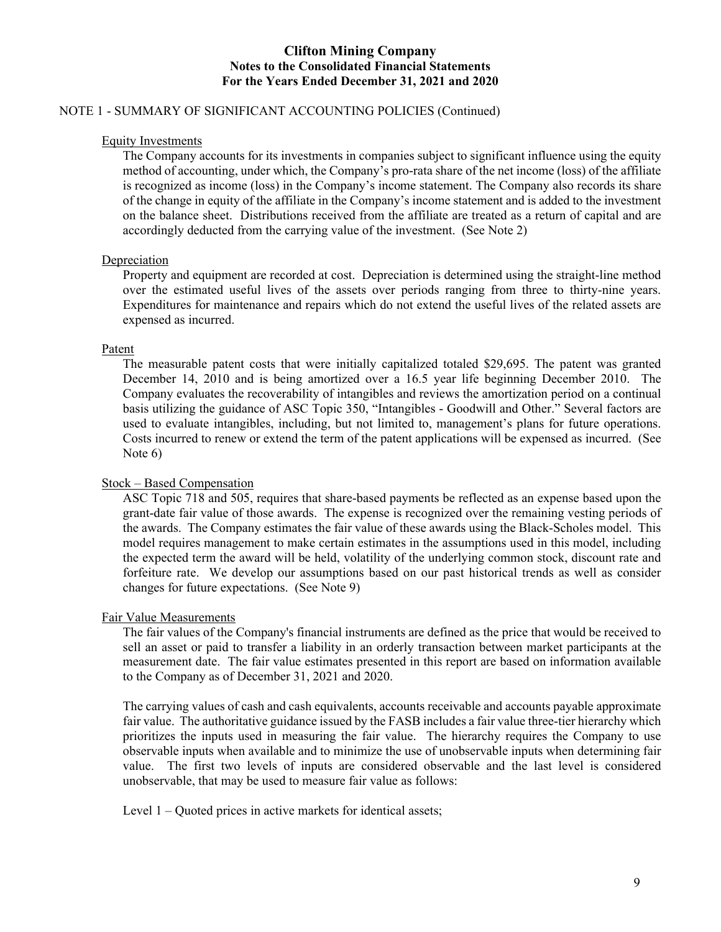# NOTE 1 - SUMMARY OF SIGNIFICANT ACCOUNTING POLICIES (Continued)

#### Equity Investments

The Company accounts for its investments in companies subject to significant influence using the equity method of accounting, under which, the Company's pro-rata share of the net income (loss) of the affiliate is recognized as income (loss) in the Company's income statement. The Company also records its share of the change in equity of the affiliate in the Company's income statement and is added to the investment on the balance sheet. Distributions received from the affiliate are treated as a return of capital and are accordingly deducted from the carrying value of the investment. (See Note 2)

# Depreciation

Property and equipment are recorded at cost. Depreciation is determined using the straight-line method over the estimated useful lives of the assets over periods ranging from three to thirty-nine years. Expenditures for maintenance and repairs which do not extend the useful lives of the related assets are expensed as incurred.

# Patent

The measurable patent costs that were initially capitalized totaled \$29,695. The patent was granted December 14, 2010 and is being amortized over a 16.5 year life beginning December 2010. The Company evaluates the recoverability of intangibles and reviews the amortization period on a continual basis utilizing the guidance of ASC Topic 350, "Intangibles - Goodwill and Other." Several factors are used to evaluate intangibles, including, but not limited to, management's plans for future operations. Costs incurred to renew or extend the term of the patent applications will be expensed as incurred. (See Note 6)

# Stock – Based Compensation

ASC Topic 718 and 505, requires that share-based payments be reflected as an expense based upon the grant-date fair value of those awards. The expense is recognized over the remaining vesting periods of the awards. The Company estimates the fair value of these awards using the Black-Scholes model. This model requires management to make certain estimates in the assumptions used in this model, including the expected term the award will be held, volatility of the underlying common stock, discount rate and forfeiture rate. We develop our assumptions based on our past historical trends as well as consider changes for future expectations. (See Note 9)

# Fair Value Measurements

The fair values of the Company's financial instruments are defined as the price that would be received to sell an asset or paid to transfer a liability in an orderly transaction between market participants at the measurement date. The fair value estimates presented in this report are based on information available to the Company as of December 31, 2021 and 2020.

The carrying values of cash and cash equivalents, accounts receivable and accounts payable approximate fair value. The authoritative guidance issued by the FASB includes a fair value three-tier hierarchy which prioritizes the inputs used in measuring the fair value. The hierarchy requires the Company to use observable inputs when available and to minimize the use of unobservable inputs when determining fair value. The first two levels of inputs are considered observable and the last level is considered unobservable, that may be used to measure fair value as follows:

Level 1 – Quoted prices in active markets for identical assets;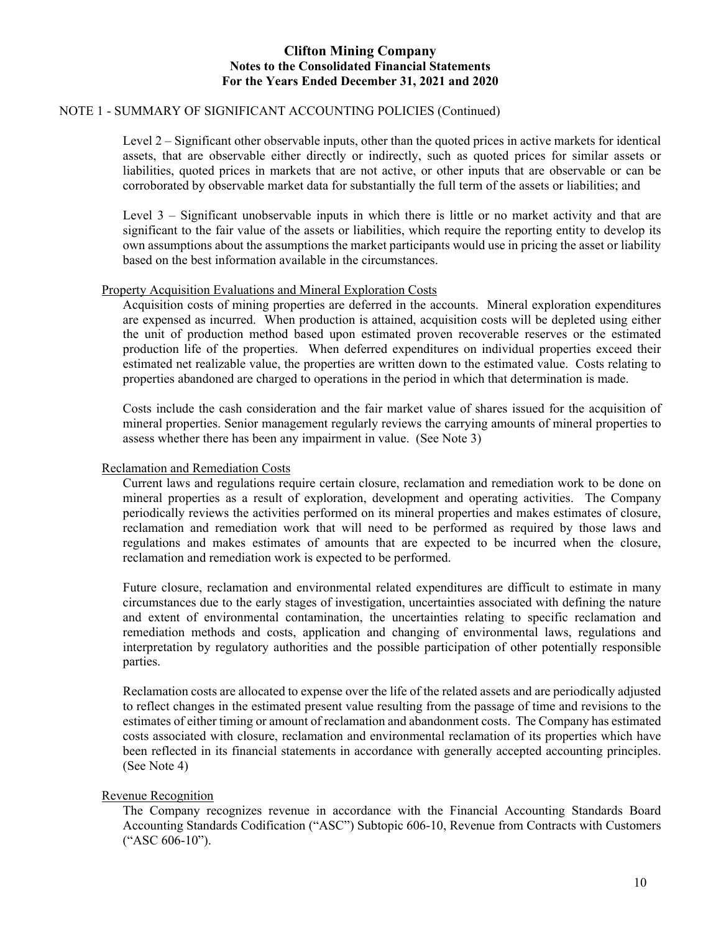#### NOTE 1 - SUMMARY OF SIGNIFICANT ACCOUNTING POLICIES (Continued)

Level 2 – Significant other observable inputs, other than the quoted prices in active markets for identical assets, that are observable either directly or indirectly, such as quoted prices for similar assets or liabilities, quoted prices in markets that are not active, or other inputs that are observable or can be corroborated by observable market data for substantially the full term of the assets or liabilities; and

Level 3 – Significant unobservable inputs in which there is little or no market activity and that are significant to the fair value of the assets or liabilities, which require the reporting entity to develop its own assumptions about the assumptions the market participants would use in pricing the asset or liability based on the best information available in the circumstances.

# Property Acquisition Evaluations and Mineral Exploration Costs

Acquisition costs of mining properties are deferred in the accounts. Mineral exploration expenditures are expensed as incurred. When production is attained, acquisition costs will be depleted using either the unit of production method based upon estimated proven recoverable reserves or the estimated production life of the properties. When deferred expenditures on individual properties exceed their estimated net realizable value, the properties are written down to the estimated value. Costs relating to properties abandoned are charged to operations in the period in which that determination is made.

Costs include the cash consideration and the fair market value of shares issued for the acquisition of mineral properties. Senior management regularly reviews the carrying amounts of mineral properties to assess whether there has been any impairment in value. (See Note 3)

#### Reclamation and Remediation Costs

Current laws and regulations require certain closure, reclamation and remediation work to be done on mineral properties as a result of exploration, development and operating activities. The Company periodically reviews the activities performed on its mineral properties and makes estimates of closure, reclamation and remediation work that will need to be performed as required by those laws and regulations and makes estimates of amounts that are expected to be incurred when the closure, reclamation and remediation work is expected to be performed.

Future closure, reclamation and environmental related expenditures are difficult to estimate in many circumstances due to the early stages of investigation, uncertainties associated with defining the nature and extent of environmental contamination, the uncertainties relating to specific reclamation and remediation methods and costs, application and changing of environmental laws, regulations and interpretation by regulatory authorities and the possible participation of other potentially responsible parties.

Reclamation costs are allocated to expense over the life of the related assets and are periodically adjusted to reflect changes in the estimated present value resulting from the passage of time and revisions to the estimates of either timing or amount of reclamation and abandonment costs. The Company has estimated costs associated with closure, reclamation and environmental reclamation of its properties which have been reflected in its financial statements in accordance with generally accepted accounting principles. (See Note 4)

# Revenue Recognition

The Company recognizes revenue in accordance with the Financial Accounting Standards Board Accounting Standards Codification ("ASC") Subtopic 606-10, Revenue from Contracts with Customers ("ASC 606-10").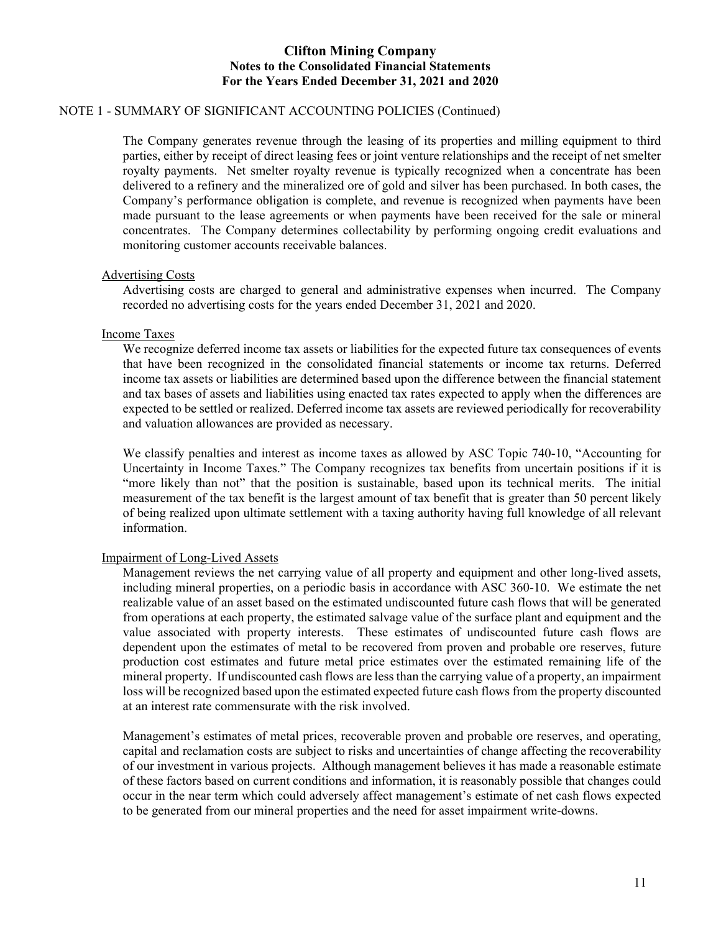#### NOTE 1 - SUMMARY OF SIGNIFICANT ACCOUNTING POLICIES (Continued)

The Company generates revenue through the leasing of its properties and milling equipment to third parties, either by receipt of direct leasing fees or joint venture relationships and the receipt of net smelter royalty payments. Net smelter royalty revenue is typically recognized when a concentrate has been delivered to a refinery and the mineralized ore of gold and silver has been purchased. In both cases, the Company's performance obligation is complete, and revenue is recognized when payments have been made pursuant to the lease agreements or when payments have been received for the sale or mineral concentrates. The Company determines collectability by performing ongoing credit evaluations and monitoring customer accounts receivable balances.

#### Advertising Costs

Advertising costs are charged to general and administrative expenses when incurred. The Company recorded no advertising costs for the years ended December 31, 2021 and 2020.

### Income Taxes

We recognize deferred income tax assets or liabilities for the expected future tax consequences of events that have been recognized in the consolidated financial statements or income tax returns. Deferred income tax assets or liabilities are determined based upon the difference between the financial statement and tax bases of assets and liabilities using enacted tax rates expected to apply when the differences are expected to be settled or realized. Deferred income tax assets are reviewed periodically for recoverability and valuation allowances are provided as necessary.

We classify penalties and interest as income taxes as allowed by ASC Topic 740-10, "Accounting for Uncertainty in Income Taxes." The Company recognizes tax benefits from uncertain positions if it is "more likely than not" that the position is sustainable, based upon its technical merits. The initial measurement of the tax benefit is the largest amount of tax benefit that is greater than 50 percent likely of being realized upon ultimate settlement with a taxing authority having full knowledge of all relevant information.

# Impairment of Long-Lived Assets

Management reviews the net carrying value of all property and equipment and other long-lived assets, including mineral properties, on a periodic basis in accordance with ASC 360-10. We estimate the net realizable value of an asset based on the estimated undiscounted future cash flows that will be generated from operations at each property, the estimated salvage value of the surface plant and equipment and the value associated with property interests. These estimates of undiscounted future cash flows are dependent upon the estimates of metal to be recovered from proven and probable ore reserves, future production cost estimates and future metal price estimates over the estimated remaining life of the mineral property. If undiscounted cash flows are less than the carrying value of a property, an impairment loss will be recognized based upon the estimated expected future cash flows from the property discounted at an interest rate commensurate with the risk involved.

Management's estimates of metal prices, recoverable proven and probable ore reserves, and operating, capital and reclamation costs are subject to risks and uncertainties of change affecting the recoverability of our investment in various projects. Although management believes it has made a reasonable estimate of these factors based on current conditions and information, it is reasonably possible that changes could occur in the near term which could adversely affect management's estimate of net cash flows expected to be generated from our mineral properties and the need for asset impairment write-downs.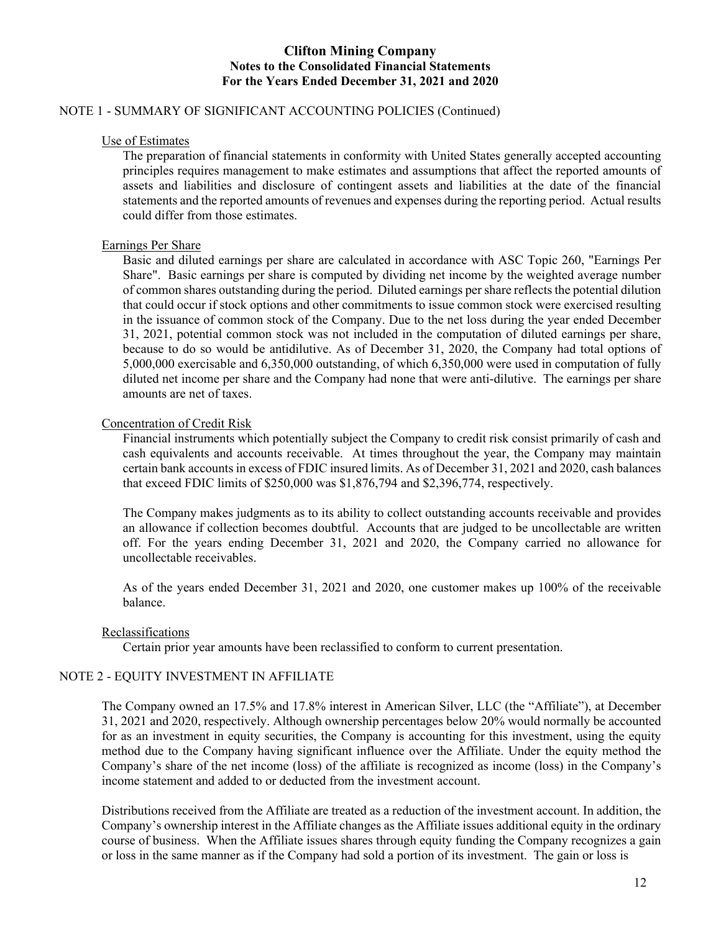#### NOTE 1 - SUMMARY OF SIGNIFICANT ACCOUNTING POLICIES (Continued)

#### Use of Estimates

The preparation of financial statements in conformity with United States generally accepted accounting principles requires management to make estimates and assumptions that affect the reported amounts of assets and liabilities and disclosure of contingent assets and liabilities at the date of the financial statements and the reported amounts of revenues and expenses during the reporting period. Actual results could differ from those estimates.

# Earnings Per Share

Basic and diluted earnings per share are calculated in accordance with ASC Topic 260, "Earnings Per Share". Basic earnings per share is computed by dividing net income by the weighted average number of common shares outstanding during the period. Diluted earnings per share reflects the potential dilution that could occur if stock options and other commitments to issue common stock were exercised resulting in the issuance of common stock of the Company. Due to the net loss during the year ended December 31, 2021, potential common stock was not included in the computation of diluted earnings per share, because to do so would be antidilutive. As of December 31, 2020, the Company had total options of 5,000,000 exercisable and 6,350,000 outstanding, of which 6,350,000 were used in computation of fully diluted net income per share and the Company had none that were anti-dilutive. The earnings per share amounts are net of taxes.

# Concentration of Credit Risk

Financial instruments which potentially subject the Company to credit risk consist primarily of cash and cash equivalents and accounts receivable. At times throughout the year, the Company may maintain certain bank accounts in excess of FDIC insured limits. As of December 31, 2021 and 2020, cash balances that exceed FDIC limits of \$250,000 was \$1,876,794 and \$2,396,774, respectively.

The Company makes judgments as to its ability to collect outstanding accounts receivable and provides an allowance if collection becomes doubtful. Accounts that are judged to be uncollectable are written off. For the years ending December 31, 2021 and 2020, the Company carried no allowance for uncollectable receivables.

As of the years ended December 31, 2021 and 2020, one customer makes up 100% of the receivable balance.

# Reclassifications

Certain prior year amounts have been reclassified to conform to current presentation.

# NOTE 2 - EQUITY INVESTMENT IN AFFILIATE

The Company owned an 17.5% and 17.8% interest in American Silver, LLC (the "Affiliate"), at December 31, 2021 and 2020, respectively. Although ownership percentages below 20% would normally be accounted for as an investment in equity securities, the Company is accounting for this investment, using the equity method due to the Company having significant influence over the Affiliate. Under the equity method the Company's share of the net income (loss) of the affiliate is recognized as income (loss) in the Company's income statement and added to or deducted from the investment account.

Distributions received from the Affiliate are treated as a reduction of the investment account. In addition, the Company's ownership interest in the Affiliate changes as the Affiliate issues additional equity in the ordinary course of business. When the Affiliate issues shares through equity funding the Company recognizes a gain or loss in the same manner as if the Company had sold a portion of its investment. The gain or loss is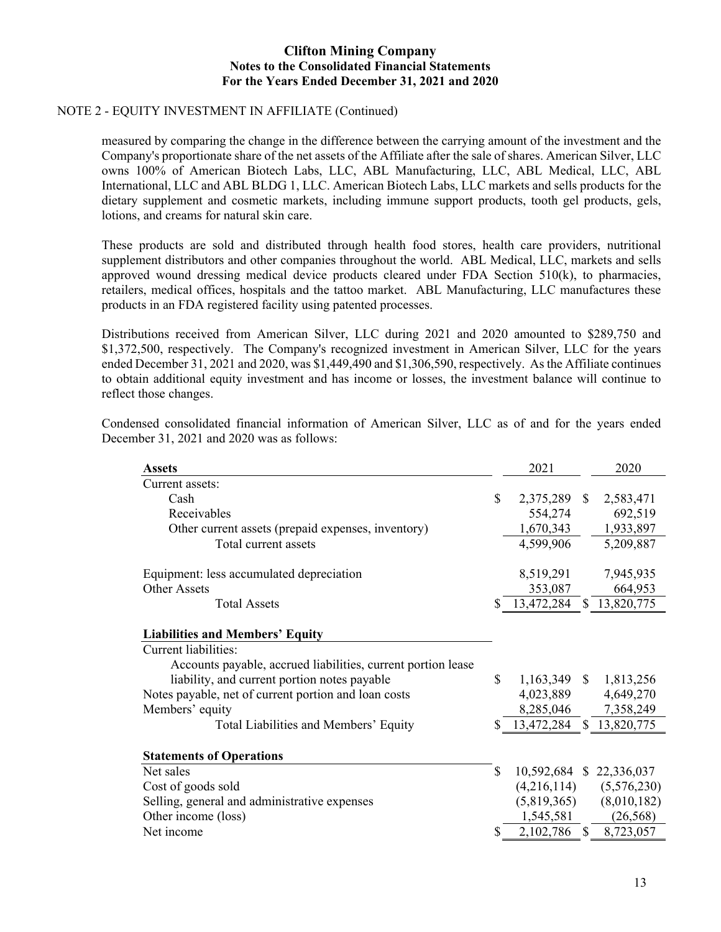# NOTE 2 - EQUITY INVESTMENT IN AFFILIATE (Continued)

measured by comparing the change in the difference between the carrying amount of the investment and the Company's proportionate share of the net assets of the Affiliate after the sale of shares. American Silver, LLC owns 100% of American Biotech Labs, LLC, ABL Manufacturing, LLC, ABL Medical, LLC, ABL International, LLC and ABL BLDG 1, LLC. American Biotech Labs, LLC markets and sells products for the dietary supplement and cosmetic markets, including immune support products, tooth gel products, gels, lotions, and creams for natural skin care.

These products are sold and distributed through health food stores, health care providers, nutritional supplement distributors and other companies throughout the world. ABL Medical, LLC, markets and sells approved wound dressing medical device products cleared under FDA Section 510(k), to pharmacies, retailers, medical offices, hospitals and the tattoo market. ABL Manufacturing, LLC manufactures these products in an FDA registered facility using patented processes.

Distributions received from American Silver, LLC during 2021 and 2020 amounted to \$289,750 and \$1,372,500, respectively. The Company's recognized investment in American Silver, LLC for the years ended December 31, 2021 and 2020, was \$1,449,490 and \$1,306,590, respectively. As the Affiliate continues to obtain additional equity investment and has income or losses, the investment balance will continue to reflect those changes.

| <b>Assets</b>                                                |              | 2021                     | 2020                     |
|--------------------------------------------------------------|--------------|--------------------------|--------------------------|
| Current assets:                                              |              |                          |                          |
| Cash                                                         | $\mathbb{S}$ | 2,375,289 \$             | 2,583,471                |
| Receivables                                                  |              | 554,274                  | 692,519                  |
| Other current assets (prepaid expenses, inventory)           |              | 1,670,343                | 1,933,897                |
| Total current assets                                         |              | 4,599,906                | 5,209,887                |
| Equipment: less accumulated depreciation                     |              | 8,519,291                | 7,945,935                |
| <b>Other Assets</b>                                          |              | 353,087                  | 664,953                  |
| <b>Total Assets</b>                                          |              | 13,472,284 \$ 13,820,775 |                          |
| <b>Liabilities and Members' Equity</b>                       |              |                          |                          |
| Current liabilities:                                         |              |                          |                          |
| Accounts payable, accrued liabilities, current portion lease |              |                          |                          |
| liability, and current portion notes payable                 | $\mathbb{S}$ | $1,163,349$ \$           | 1,813,256                |
| Notes payable, net of current portion and loan costs         |              | 4,023,889                | 4,649,270                |
| Members' equity                                              |              | 8,285,046                | 7,358,249                |
| Total Liabilities and Members' Equity                        |              |                          | 13,472,284 \$ 13,820,775 |
| <b>Statements of Operations</b>                              |              |                          |                          |
| Net sales                                                    | \$           |                          | 10,592,684 \$ 22,336,037 |
| Cost of goods sold                                           |              | (4,216,114)              | (5,576,230)              |
| Selling, general and administrative expenses                 |              | (5,819,365)              | (8,010,182)              |
| Other income (loss)                                          |              | 1,545,581                | (26, 568)                |
| Net income                                                   |              | 2,102,786                | 8,723,057                |
|                                                              |              |                          |                          |

Condensed consolidated financial information of American Silver, LLC as of and for the years ended December 31, 2021 and 2020 was as follows: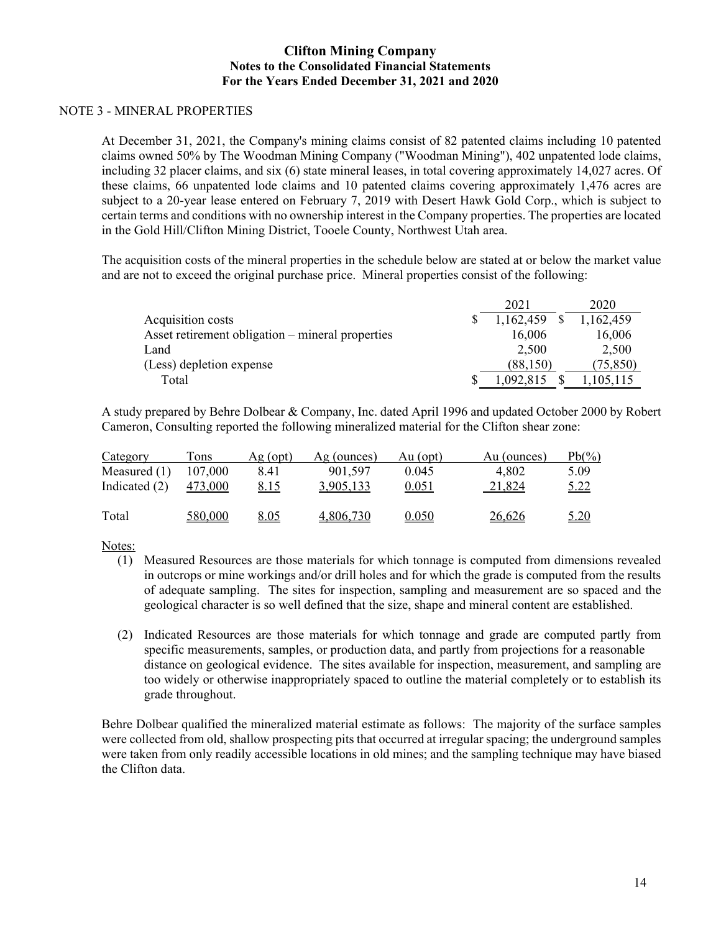#### NOTE 3 - MINERAL PROPERTIES

At December 31, 2021, the Company's mining claims consist of 82 patented claims including 10 patented claims owned 50% by The Woodman Mining Company ("Woodman Mining"), 402 unpatented lode claims, including 32 placer claims, and six (6) state mineral leases, in total covering approximately 14,027 acres. Of these claims, 66 unpatented lode claims and 10 patented claims covering approximately 1,476 acres are subject to a 20-year lease entered on February 7, 2019 with Desert Hawk Gold Corp., which is subject to certain terms and conditions with no ownership interest in the Company properties. The properties are located in the Gold Hill/Clifton Mining District, Tooele County, Northwest Utah area.

The acquisition costs of the mineral properties in the schedule below are stated at or below the market value and are not to exceed the original purchase price. Mineral properties consist of the following:

|                                                  | 2021      | 2020      |
|--------------------------------------------------|-----------|-----------|
| Acquisition costs                                | 1,162,459 | 1,162,459 |
| Asset retirement obligation – mineral properties | 16,006    | 16,006    |
| Land                                             | 2,500     | 2,500     |
| (Less) depletion expense                         | (88, 150) | (75, 850) |
| Total                                            | ,092,815  | 105,115   |

A study prepared by Behre Dolbear & Company, Inc. dated April 1996 and updated October 2000 by Robert Cameron, Consulting reported the following mineralized material for the Clifton shear zone:

| Category        | Tons           | Ag(opt)     | Ag (ounces) | Au (opt) | Au (ounces)   | $Pb(\%)$    |
|-----------------|----------------|-------------|-------------|----------|---------------|-------------|
| Measured $(1)$  | 107,000        | 8.41        | 901,597     | 0.045    | 4,802         | 5.09        |
| Indicated $(2)$ | 473,000        | 8.15        | 3.905.133   | 0.051    | 21,824        | 5.22        |
| Total           | <u>580,000</u> | <u>8.05</u> | 4,806,730   | 0.050    | <u>26,626</u> | <u>5.20</u> |

Notes:

- (1) Measured Resources are those materials for which tonnage is computed from dimensions revealed in outcrops or mine workings and/or drill holes and for which the grade is computed from the results of adequate sampling. The sites for inspection, sampling and measurement are so spaced and the geological character is so well defined that the size, shape and mineral content are established.
- (2) Indicated Resources are those materials for which tonnage and grade are computed partly from specific measurements, samples, or production data, and partly from projections for a reasonable distance on geological evidence. The sites available for inspection, measurement, and sampling are too widely or otherwise inappropriately spaced to outline the material completely or to establish its grade throughout.

Behre Dolbear qualified the mineralized material estimate as follows: The majority of the surface samples were collected from old, shallow prospecting pits that occurred at irregular spacing; the underground samples were taken from only readily accessible locations in old mines; and the sampling technique may have biased the Clifton data.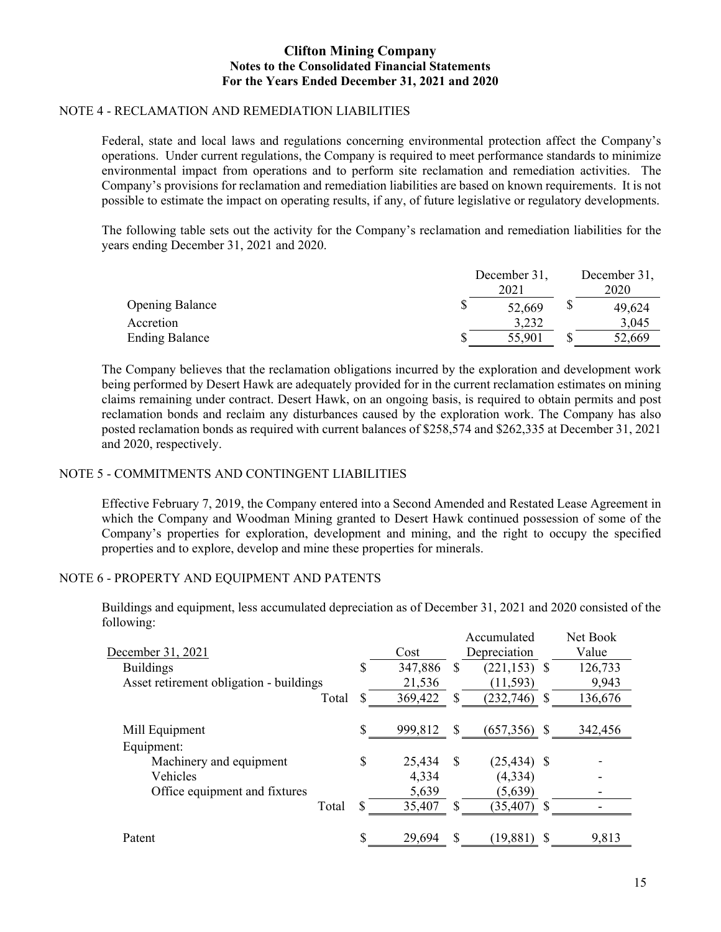# NOTE 4 - RECLAMATION AND REMEDIATION LIABILITIES

Federal, state and local laws and regulations concerning environmental protection affect the Company's operations. Under current regulations, the Company is required to meet performance standards to minimize environmental impact from operations and to perform site reclamation and remediation activities. The Company's provisions for reclamation and remediation liabilities are based on known requirements. It is not possible to estimate the impact on operating results, if any, of future legislative or regulatory developments.

The following table sets out the activity for the Company's reclamation and remediation liabilities for the years ending December 31, 2021 and 2020.

|                        | December 31, | December 31, |
|------------------------|--------------|--------------|
|                        | 2021         | 2020         |
| <b>Opening Balance</b> | 52,669       | 49,624       |
| Accretion              | 3,232        | 3,045        |
| <b>Ending Balance</b>  | 55,901       | 52,669       |

The Company believes that the reclamation obligations incurred by the exploration and development work being performed by Desert Hawk are adequately provided for in the current reclamation estimates on mining claims remaining under contract. Desert Hawk, on an ongoing basis, is required to obtain permits and post reclamation bonds and reclaim any disturbances caused by the exploration work. The Company has also posted reclamation bonds as required with current balances of \$258,574 and \$262,335 at December 31, 2021 and 2020, respectively.

# NOTE 5 - COMMITMENTS AND CONTINGENT LIABILITIES

Effective February 7, 2019, the Company entered into a Second Amended and Restated Lease Agreement in which the Company and Woodman Mining granted to Desert Hawk continued possession of some of the Company's properties for exploration, development and mining, and the right to occupy the specified properties and to explore, develop and mine these properties for minerals.

# NOTE 6 - PROPERTY AND EQUIPMENT AND PATENTS

Buildings and equipment, less accumulated depreciation as of December 31, 2021 and 2020 consisted of the following: Accumulated Net Book

|    |         |         | Accumulated      |    | Net Book                                            |
|----|---------|---------|------------------|----|-----------------------------------------------------|
|    | Cost    |         | Depreciation     |    | Value                                               |
| S  | 347,886 | S       |                  |    | 126,733                                             |
|    | 21,536  |         | (11, 593)        |    | 9,943                                               |
|    | 369,422 |         | (232,746)        |    | 136,676                                             |
|    |         |         |                  |    |                                                     |
|    |         |         |                  |    | 342,456                                             |
|    |         |         |                  |    |                                                     |
| \$ | 25,434  |         |                  |    |                                                     |
|    | 4,334   |         | (4, 334)         |    |                                                     |
|    | 5,639   |         | (5,639)          |    |                                                     |
|    | 35,407  |         | (35, 407)        | -S |                                                     |
|    |         |         |                  |    |                                                     |
|    | 29,694  | S       | (19, 881)        | S  | 9,813                                               |
|    | Total   | 999,812 | <b>S</b><br>- \$ |    | $(221, 153)$ \$<br>$(657,356)$ \$<br>$(25, 434)$ \$ |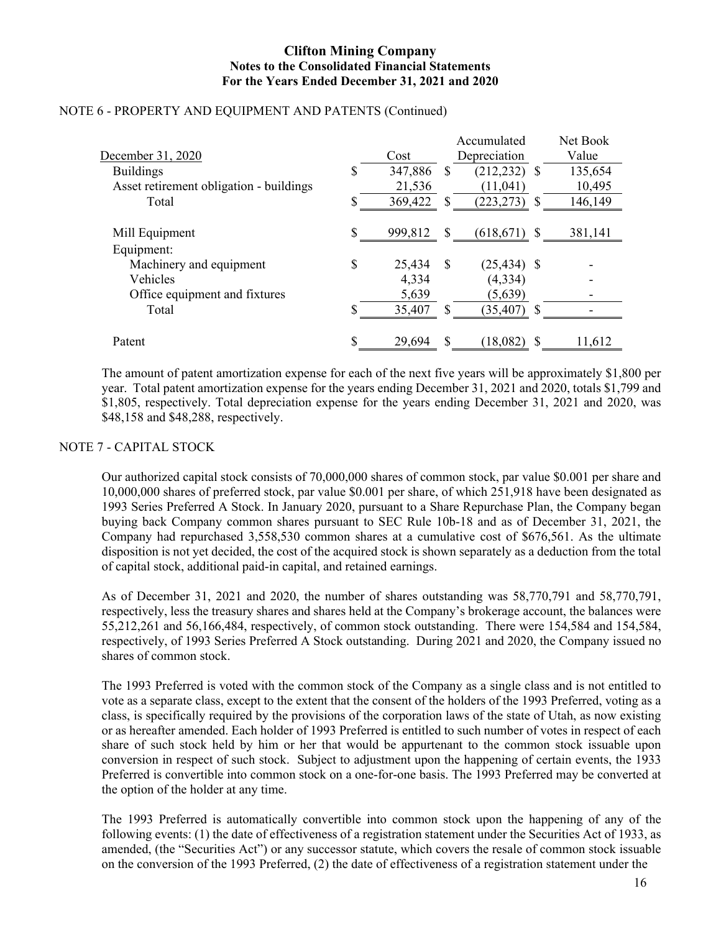# NOTE 6 - PROPERTY AND EQUIPMENT AND PATENTS (Continued)

|                                         |    |         |               | Accumulated     |               | Net Book |
|-----------------------------------------|----|---------|---------------|-----------------|---------------|----------|
| December 31, 2020                       |    | Cost    |               | Depreciation    |               | Value    |
| <b>Buildings</b>                        | \$ | 347,886 | \$.           | $(212, 232)$ \$ |               | 135,654  |
| Asset retirement obligation - buildings |    | 21,536  |               | (11, 041)       |               | 10,495   |
| Total                                   | S  | 369,422 | S             | (223, 273)      | <b>S</b>      | 146,149  |
|                                         |    |         |               |                 |               |          |
| Mill Equipment                          | \$ | 999,812 | \$            | $(618, 671)$ \$ |               | 381,141  |
| Equipment:                              |    |         |               |                 |               |          |
| Machinery and equipment                 | \$ | 25,434  | <sup>\$</sup> | $(25, 434)$ \$  |               |          |
| Vehicles                                |    | 4,334   |               | (4, 334)        |               |          |
| Office equipment and fixtures           |    | 5,639   |               | (5,639)         |               |          |
| Total                                   | \$ | 35,407  | S             | (35, 407)       | <sup>\$</sup> |          |
|                                         |    |         |               |                 |               |          |
| Patent                                  | \$ | 29,694  |               | (18,082)        |               | 11,612   |

The amount of patent amortization expense for each of the next five years will be approximately \$1,800 per year. Total patent amortization expense for the years ending December 31, 2021 and 2020, totals \$1,799 and \$1,805, respectively. Total depreciation expense for the years ending December 31, 2021 and 2020, was \$48,158 and \$48,288, respectively.

# NOTE 7 - CAPITAL STOCK

Our authorized capital stock consists of 70,000,000 shares of common stock, par value \$0.001 per share and 10,000,000 shares of preferred stock, par value \$0.001 per share, of which 251,918 have been designated as 1993 Series Preferred A Stock. In January 2020, pursuant to a Share Repurchase Plan, the Company began buying back Company common shares pursuant to SEC Rule 10b-18 and as of December 31, 2021, the Company had repurchased 3,558,530 common shares at a cumulative cost of \$676,561. As the ultimate disposition is not yet decided, the cost of the acquired stock is shown separately as a deduction from the total of capital stock, additional paid-in capital, and retained earnings.

As of December 31, 2021 and 2020, the number of shares outstanding was 58,770,791 and 58,770,791, respectively, less the treasury shares and shares held at the Company's brokerage account, the balances were 55,212,261 and 56,166,484, respectively, of common stock outstanding. There were 154,584 and 154,584, respectively, of 1993 Series Preferred A Stock outstanding. During 2021 and 2020, the Company issued no shares of common stock.

The 1993 Preferred is voted with the common stock of the Company as a single class and is not entitled to vote as a separate class, except to the extent that the consent of the holders of the 1993 Preferred, voting as a class, is specifically required by the provisions of the corporation laws of the state of Utah, as now existing or as hereafter amended. Each holder of 1993 Preferred is entitled to such number of votes in respect of each share of such stock held by him or her that would be appurtenant to the common stock issuable upon conversion in respect of such stock. Subject to adjustment upon the happening of certain events, the 1933 Preferred is convertible into common stock on a one-for-one basis. The 1993 Preferred may be converted at the option of the holder at any time.

The 1993 Preferred is automatically convertible into common stock upon the happening of any of the following events: (1) the date of effectiveness of a registration statement under the Securities Act of 1933, as amended, (the "Securities Act") or any successor statute, which covers the resale of common stock issuable on the conversion of the 1993 Preferred, (2) the date of effectiveness of a registration statement under the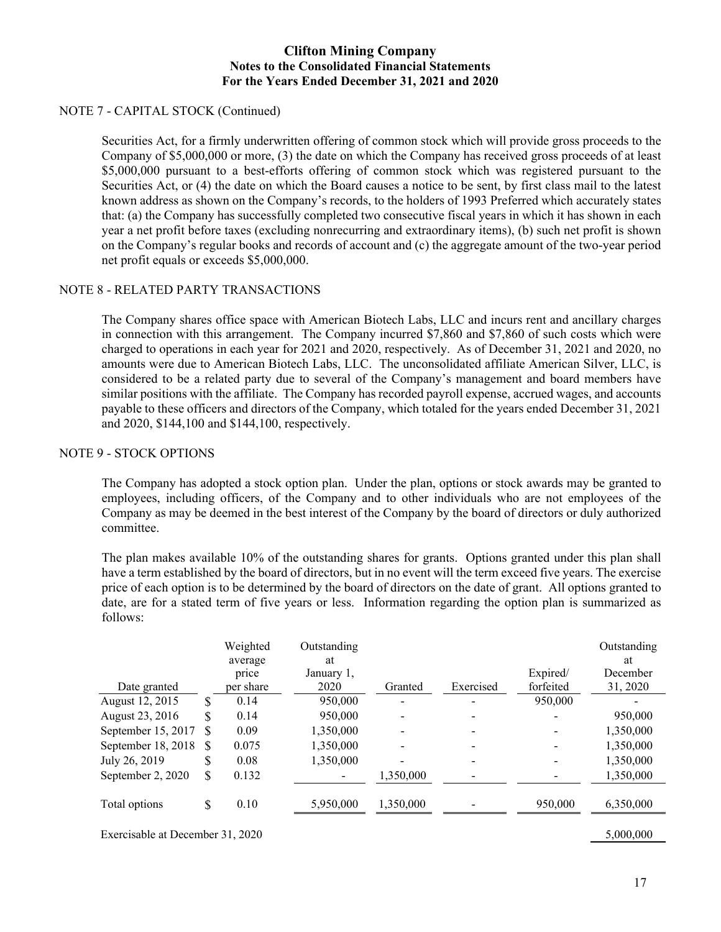# NOTE 7 - CAPITAL STOCK (Continued)

Securities Act, for a firmly underwritten offering of common stock which will provide gross proceeds to the Company of \$5,000,000 or more, (3) the date on which the Company has received gross proceeds of at least \$5,000,000 pursuant to a best-efforts offering of common stock which was registered pursuant to the Securities Act, or (4) the date on which the Board causes a notice to be sent, by first class mail to the latest known address as shown on the Company's records, to the holders of 1993 Preferred which accurately states that: (a) the Company has successfully completed two consecutive fiscal years in which it has shown in each year a net profit before taxes (excluding nonrecurring and extraordinary items), (b) such net profit is shown on the Company's regular books and records of account and (c) the aggregate amount of the two-year period net profit equals or exceeds \$5,000,000.

#### NOTE 8 - RELATED PARTY TRANSACTIONS

The Company shares office space with American Biotech Labs, LLC and incurs rent and ancillary charges in connection with this arrangement. The Company incurred \$7,860 and \$7,860 of such costs which were charged to operations in each year for 2021 and 2020, respectively. As of December 31, 2021 and 2020, no amounts were due to American Biotech Labs, LLC. The unconsolidated affiliate American Silver, LLC, is considered to be a related party due to several of the Company's management and board members have similar positions with the affiliate. The Company has recorded payroll expense, accrued wages, and accounts payable to these officers and directors of the Company, which totaled for the years ended December 31, 2021 and 2020, \$144,100 and \$144,100, respectively.

# NOTE 9 - STOCK OPTIONS

The Company has adopted a stock option plan. Under the plan, options or stock awards may be granted to employees, including officers, of the Company and to other individuals who are not employees of the Company as may be deemed in the best interest of the Company by the board of directors or duly authorized committee.

The plan makes available 10% of the outstanding shares for grants. Options granted under this plan shall have a term established by the board of directors, but in no event will the term exceed five years. The exercise price of each option is to be determined by the board of directors on the date of grant. All options granted to date, are for a stated term of five years or less. Information regarding the option plan is summarized as follows:

| Date granted       |    | Weighted<br>average<br>price<br>per share | Outstanding<br>at<br>January 1,<br>2020 | Granted   | Exercised | Expired/<br>forfeited | Outstanding<br>at<br>December<br>31, 2020 |
|--------------------|----|-------------------------------------------|-----------------------------------------|-----------|-----------|-----------------------|-------------------------------------------|
| August 12, 2015    | \$ | 0.14                                      | 950,000                                 |           |           | 950,000               |                                           |
| August 23, 2016    | \$ | 0.14                                      | 950,000                                 |           |           |                       | 950,000                                   |
| September 15, 2017 | S  | 0.09                                      | 1,350,000                               |           |           |                       | 1,350,000                                 |
| September 18, 2018 | \$ | 0.075                                     | 1,350,000                               |           |           |                       | 1,350,000                                 |
| July 26, 2019      | \$ | 0.08                                      | 1,350,000                               |           |           |                       | 1,350,000                                 |
| September 2, 2020  | \$ | 0.132                                     |                                         | 1,350,000 |           |                       | 1,350,000                                 |
| Total options      | \$ | 0.10                                      | 5,950,000                               | 1,350,000 |           | 950,000               | 6,350,000                                 |

Exercisable at December 31, 2020 5,000,000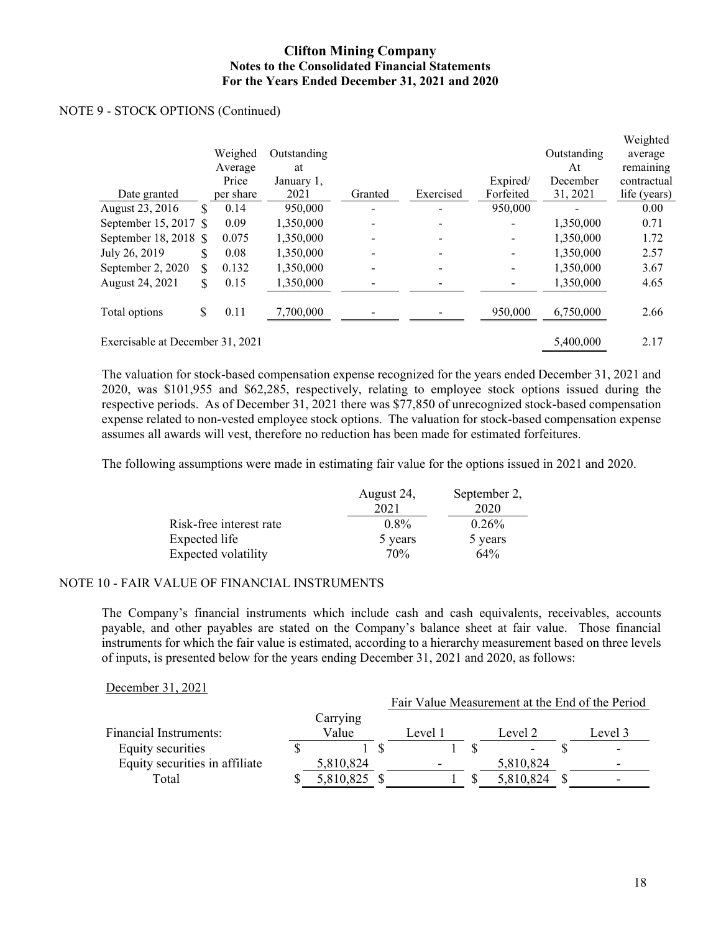# NOTE 9 - STOCK OPTIONS (Continued)

|                                  |    |           |             |         |           |           |             | Weighted     |
|----------------------------------|----|-----------|-------------|---------|-----------|-----------|-------------|--------------|
|                                  |    | Weighed   | Outstanding |         |           |           | Outstanding | average      |
|                                  |    | Average   | at          |         |           |           | At          | remaining    |
|                                  |    | Price     | January 1,  |         |           | Expired/  | December    | contractual  |
| Date granted                     |    | per share | 2021        | Granted | Exercised | Forfeited | 31, 2021    | life (years) |
| August 23, 2016                  | S  | 0.14      | 950,000     |         |           | 950,000   |             | 0.00         |
| September 15, 2017 \$            |    | 0.09      | 1,350,000   |         | -         |           | 1,350,000   | 0.71         |
| September 18, 2018 \$            |    | 0.075     | 1,350,000   |         | -         |           | 1,350,000   | 1.72         |
| July 26, 2019                    | \$ | 0.08      | 1,350,000   |         |           |           | 1,350,000   | 2.57         |
| September 2, 2020                | \$ | 0.132     | 1,350,000   |         |           |           | 1,350,000   | 3.67         |
| August 24, 2021                  | \$ | 0.15      | 1,350,000   |         |           |           | 1,350,000   | 4.65         |
| Total options                    | \$ | 0.11      | 7,700,000   |         |           | 950,000   | 6,750,000   | 2.66         |
| Exercisable at December 31, 2021 |    |           |             |         |           |           | 5,400,000   | 2.17         |

The valuation for stock-based compensation expense recognized for the years ended December 31, 2021 and 2020, was \$101,955 and \$62,285, respectively, relating to employee stock options issued during the respective periods. As of December 31, 2021 there was \$77,850 of unrecognized stock-based compensation expense related to non-vested employee stock options. The valuation for stock-based compensation expense assumes all awards will vest, therefore no reduction has been made for estimated forfeitures.

The following assumptions were made in estimating fair value for the options issued in 2021 and 2020.

|                         | August 24, | September 2, |
|-------------------------|------------|--------------|
|                         | 2021       | 2020         |
| Risk-free interest rate | $0.8\%$    | $0.26\%$     |
| Expected life           | 5 years    | 5 years      |
| Expected volatility     | 70%        | 64%          |

# NOTE 10 - FAIR VALUE OF FINANCIAL INSTRUMENTS

The Company's financial instruments which include cash and cash equivalents, receivables, accounts payable, and other payables are stated on the Company's balance sheet at fair value. Those financial instruments for which the fair value is estimated, according to a hierarchy measurement based on three levels of inputs, is presented below for the years ending December 31, 2021 and 2020, as follows:

| December 31, 2021              |              |         |                          |                                                 |
|--------------------------------|--------------|---------|--------------------------|-------------------------------------------------|
|                                |              |         |                          | Fair Value Measurement at the End of the Period |
|                                | Carrying     |         |                          |                                                 |
| Financial Instruments:         | Value        | Level 1 | Level 2                  | Level 3                                         |
| Equity securities              |              |         | $\overline{\phantom{0}}$ | $\overline{\phantom{0}}$                        |
| Equity securities in affiliate | 5,810,824    |         | 5,810,824                | -                                               |
| Total                          | 5,810,825 \$ |         | 5,810,824                |                                                 |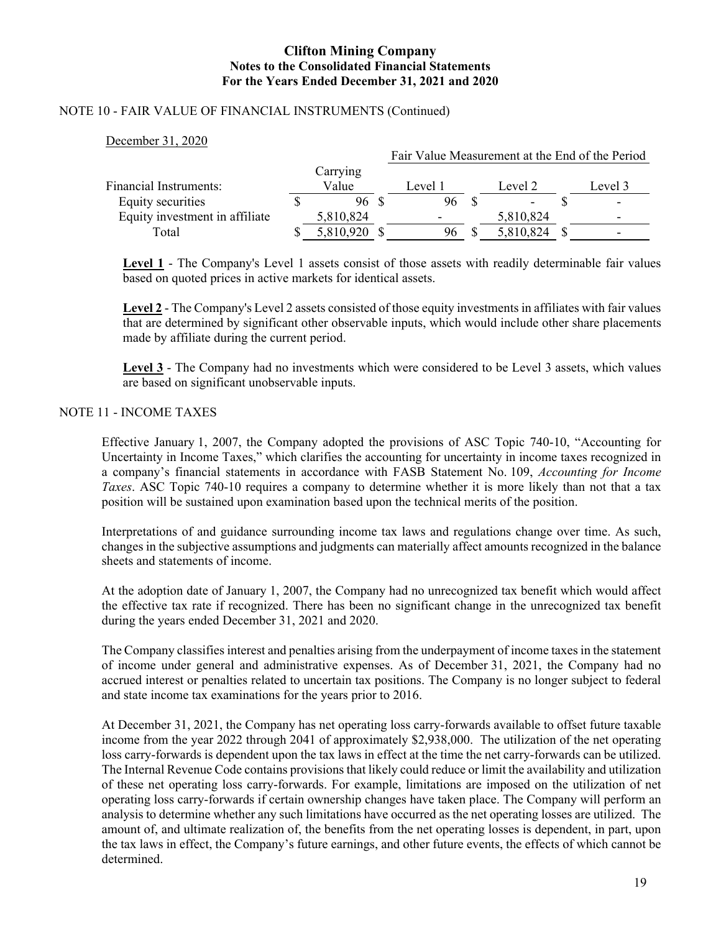# NOTE 10 - FAIR VALUE OF FINANCIAL INSTRUMENTS (Continued)

| Carrying  |         |           |                                                 |
|-----------|---------|-----------|-------------------------------------------------|
| Value     | Level 1 | Level 2   | Level 3                                         |
|           | 96      | -         | -                                               |
| 5,810,824 |         | 5,810,824 |                                                 |
| 5,810,920 | 96      | 5,810,824 |                                                 |
|           | 96 S    |           | Fair Value Measurement at the End of the Period |

**Level 1** - The Company's Level 1 assets consist of those assets with readily determinable fair values based on quoted prices in active markets for identical assets.

**Level 2** - The Company's Level 2 assets consisted of those equity investments in affiliates with fair values that are determined by significant other observable inputs, which would include other share placements made by affiliate during the current period.

**Level 3** - The Company had no investments which were considered to be Level 3 assets, which values are based on significant unobservable inputs.

# NOTE 11 - INCOME TAXES

Effective January 1, 2007, the Company adopted the provisions of ASC Topic 740-10, "Accounting for Uncertainty in Income Taxes," which clarifies the accounting for uncertainty in income taxes recognized in a company's financial statements in accordance with FASB Statement No. 109, *Accounting for Income Taxes*. ASC Topic 740-10 requires a company to determine whether it is more likely than not that a tax position will be sustained upon examination based upon the technical merits of the position.

Interpretations of and guidance surrounding income tax laws and regulations change over time. As such, changes in the subjective assumptions and judgments can materially affect amounts recognized in the balance sheets and statements of income.

At the adoption date of January 1, 2007, the Company had no unrecognized tax benefit which would affect the effective tax rate if recognized. There has been no significant change in the unrecognized tax benefit during the years ended December 31, 2021 and 2020.

The Company classifies interest and penalties arising from the underpayment of income taxes in the statement of income under general and administrative expenses. As of December 31, 2021, the Company had no accrued interest or penalties related to uncertain tax positions. The Company is no longer subject to federal and state income tax examinations for the years prior to 2016.

At December 31, 2021, the Company has net operating loss carry-forwards available to offset future taxable income from the year 2022 through 2041 of approximately \$2,938,000. The utilization of the net operating loss carry-forwards is dependent upon the tax laws in effect at the time the net carry-forwards can be utilized. The Internal Revenue Code contains provisions that likely could reduce or limit the availability and utilization of these net operating loss carry-forwards. For example, limitations are imposed on the utilization of net operating loss carry-forwards if certain ownership changes have taken place. The Company will perform an analysis to determine whether any such limitations have occurred as the net operating losses are utilized. The amount of, and ultimate realization of, the benefits from the net operating losses is dependent, in part, upon the tax laws in effect, the Company's future earnings, and other future events, the effects of which cannot be determined.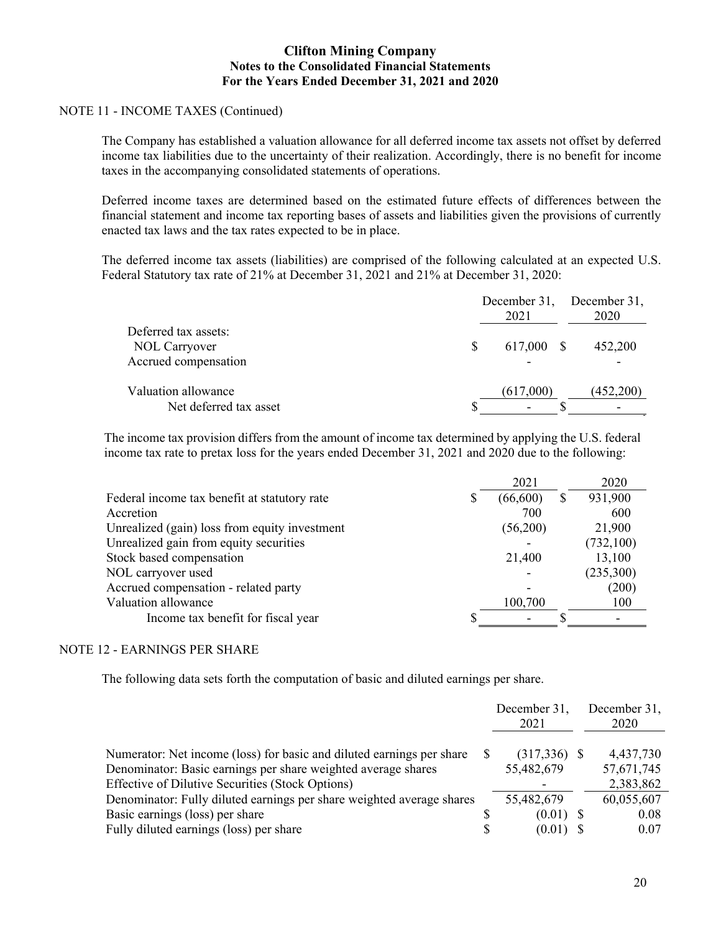# NOTE 11 - INCOME TAXES (Continued)

The Company has established a valuation allowance for all deferred income tax assets not offset by deferred income tax liabilities due to the uncertainty of their realization. Accordingly, there is no benefit for income taxes in the accompanying consolidated statements of operations.

Deferred income taxes are determined based on the estimated future effects of differences between the financial statement and income tax reporting bases of assets and liabilities given the provisions of currently enacted tax laws and the tax rates expected to be in place.

The deferred income tax assets (liabilities) are comprised of the following calculated at an expected U.S. Federal Statutory tax rate of 21% at December 31, 2021 and 21% at December 31, 2020:

|                                                                      |   | 2021       | December 31, December 31,<br>2020 |
|----------------------------------------------------------------------|---|------------|-----------------------------------|
| Deferred tax assets:<br><b>NOL Carryover</b><br>Accrued compensation | S | 617,000 \$ | 452,200                           |
| Valuation allowance<br>Net deferred tax asset                        |   | (617,000)  | (452,200)                         |

The income tax provision differs from the amount of income tax determined by applying the U.S. federal income tax rate to pretax loss for the years ended December 31, 2021 and 2020 due to the following:

|                                               | 2021      |    | 2020      |
|-----------------------------------------------|-----------|----|-----------|
| Federal income tax benefit at statutory rate  | (66, 600) | ۰Δ | 931,900   |
| Accretion                                     | 700       |    | 600       |
| Unrealized (gain) loss from equity investment | (56,200)  |    | 21,900    |
| Unrealized gain from equity securities        |           |    | (732,100) |
| Stock based compensation                      | 21,400    |    | 13,100    |
| NOL carryover used                            |           |    | (235,300) |
| Accrued compensation - related party          |           |    | (200)     |
| Valuation allowance                           | 100,700   |    | 100       |
| Income tax benefit for fiscal year            |           |    |           |

# NOTE 12 - EARNINGS PER SHARE

The following data sets forth the computation of basic and diluted earnings per share.

|                                                                       | December 31,<br>2021 | December 31,<br>2020 |
|-----------------------------------------------------------------------|----------------------|----------------------|
| Numerator: Net income (loss) for basic and diluted earnings per share | $(317,336)$ \$       | 4,437,730            |
| Denominator: Basic earnings per share weighted average shares         | 55,482,679           | 57,671,745           |
| Effective of Dilutive Securities (Stock Options)                      |                      | 2,383,862            |
| Denominator: Fully diluted earnings per share weighted average shares | 55,482,679           | 60,055,607           |
| Basic earnings (loss) per share                                       | $(0.01)$ \$          | 0.08                 |
| Fully diluted earnings (loss) per share                               | (0.01)               | 0.07                 |